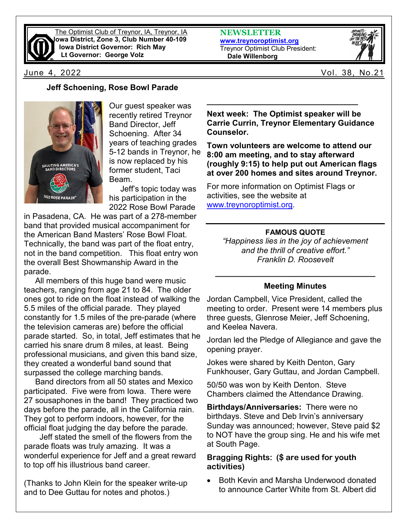

The Optimist Club of Treynor, IA, Treynor, IA **Iowa District, Zone 3, Club Number 40-109 Iowa District Governor: Rich May Lt Governor: George Volz**

**NEWSLETTER [www.treynoroptimist.org](http://www.treynoroptimist.org/)** Treynor Optimist Club President:  **Dale Willenborg**



June 4, 2022 Vol. 38, No.21

## **Jeff Schoening, Rose Bowl Parade**



Our guest speaker was recently retired Treynor Band Director, Jeff Schoening. After 34 years of teaching grades 5-12 bands in Treynor, he is now replaced by his former student, Taci Beam.

 Jeff's topic today was his participation in the 2022 Rose Bowl Parade

in Pasadena, CA. He was part of a 278-member band that provided musical accompaniment for the American Band Masters' Rose Bowl Float. Technically, the band was part of the float entry, not in the band competition. This float entry won the overall Best Showmanship Award in the parade.

 All members of this huge band were music teachers, ranging from age 21 to 84. The older ones got to ride on the float instead of walking the 5.5 miles of the official parade. They played constantly for 1.5 miles of the pre-parade (where the television cameras are) before the official parade started. So, in total, Jeff estimates that he carried his snare drum 8 miles, at least. Being professional musicians, and given this band size, they created a wonderful band sound that surpassed the college marching bands.

 Band directors from all 50 states and Mexico participated. Five were from Iowa. There were 27 sousaphones in the band! They practiced two days before the parade, all in the California rain. They got to perform indoors, however, for the official float judging the day before the parade.

 Jeff stated the smell of the flowers from the parade floats was truly amazing. It was a wonderful experience for Jeff and a great reward to top off his illustrious band career.

(Thanks to John Klein for the speaker write-up and to Dee Guttau for notes and photos.)

**Next week: The Optimist speaker will be Carrie Currin, Treynor Elementary Guidance Counselor.** 

**\_\_\_\_\_\_\_\_\_\_\_\_\_\_\_\_\_\_\_\_\_\_\_\_\_\_\_\_\_\_\_\_\_\_**

**Town volunteers are welcome to attend our 8:00 am meeting, and to stay afterward (roughly 9:15) to help put out American flags at over 200 homes and sites around Treynor.** 

For more information on Optimist Flags or activities, see the website at [www.treynoroptimist.org.](http://www.treynoroptimist.org/)

## **FAMOUS QUOTE**

*"Happiness lies in the joy of achievement and the thrill of creative effort." Franklin D. Roosevelt*

## **\_\_\_\_\_\_\_\_\_\_\_\_\_\_\_\_\_\_\_\_\_\_\_\_\_\_\_\_\_\_\_\_\_\_\_\_ Meeting Minutes**

Jordan Campbell, Vice President, called the meeting to order. Present were 14 members plus three guests, Glenrose Meier, Jeff Schoening, and Keelea Navera.

Jordan led the Pledge of Allegiance and gave the opening prayer.

Jokes were shared by Keith Denton, Gary Funkhouser, Gary Guttau, and Jordan Campbell.

50/50 was won by Keith Denton. Steve Chambers claimed the Attendance Drawing.

**Birthdays/Anniversaries:** There were no birthdays. Steve and Deb Irvin's anniversary Sunday was announced; however, Steve paid \$2 to NOT have the group sing. He and his wife met at South Page.

## **Bragging Rights: (\$ are used for youth activities)**

• Both Kevin and Marsha Underwood donated to announce Carter White from St. Albert did